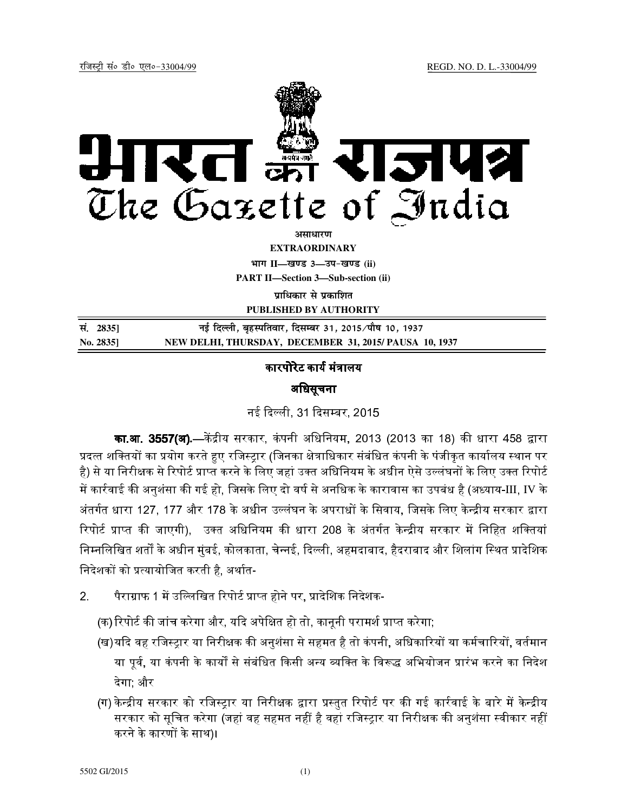

**EXTRAORDINARY**

**Hkkx II—[k.M 3—mi&[k.M (ii)**

**PART II—Section 3—Sub-section (ii)** 

**पाधिकार से पका**शित

**PUBLISHED BY AUTHORITY**

| सं. 2835] | नई दिल्ली, बृहस्पतिवार, दिसम्बर 31, 2015/पौष 10, 1937 |
|-----------|-------------------------------------------------------|
| No. 2835] | NEW DELHI, THURSDAY, DECEMBER 31, 2015/PAUSA 10, 1937 |

# कारपोरेट कार्य मंत्रालय

# अधिसूचना

नई दिल्ली. 31 दिसम्बर, 2015.

**का.आ. 3557(अ).—**केंद्रीय सरकार, कंपनी अधिनियम, 2013 (2013 का 18) की धारा 458 द्वारा प्रदत्त शक्तियों का प्रयोग करते हए रजिस्टार (जिनका क्षेत्राधिकार संबंधित कंपनी के पंजीकत कार्यालय स्थान पर है) से या निरीक्षक से रिपोर्ट प्राप्त करने के लिए जहां उक्त अधिनियम के अधीन ऐसे उल्लंघनों के लिए उक्त रिपोर्ट में कार्रवाई की अनुशंसा की गई हो, जिसके लिए दो वर्ष से अनधिक के कारावास का उपबंध है (अध्याय-III, IV के अंतर्गत धारा 127, 177 और 178 के अधीन उल्लंघन के अपराधों के सिवाय, जिसके लिए केन्द्रीय सरकार द्वारा रिपोर्ट प्राप्त की जाएगी), उक्त अधिनियम की धारा 208 के अंतर्गत केन्द्रीय सरकार में निहित शक्तियां निम्नलिखित शर्तों के अधीन मंबई, कोलकाता, चेन्नई, दिल्ली, अहमदाबाद, हैदराबाद और शिलांग स्थित प्रादेशिक निदेशकों को प्रत्यायोजित करती है, अर्थात-

- 2. पैराग्राफ 1 में उल्लिखित रिपोर्ट प्राप्त होने पर, प्रादेशिक निदेशक-
	- (क) रिपोर्ट की जांच करेगा और, यदि अपेक्षित हो तो, कानूनी परामर्श प्राप्त करेगा;
	- (ख)यदि वह रजिस्ट्रार या निरीक्षक की अनुशंसा से सहमत है तो कंपनी, अधिकारियों या कर्मचारियों, वर्तमान या पूर्व, या कंपनी के कार्यों से संबंधित किसी अन्य व्यक्ति के विरूद्ध अभियोजन प्रारंभ करने का निदेश देगा; और
	- (ग) केन्द्रीय सरकार को रजिस्ट्रार या निरीक्षक द्वारा प्रस्तुत रिपोर्ट पर की गई कार्रवाई के बारे में केन्द्रीय सरकार को सूचित करेगा (जहां वह सहमत नहीं है वहां रजिस्ट्रार या निरीक्षक की अनुशंसा स्वीकार नहीं करने के कारणों के साथ)।